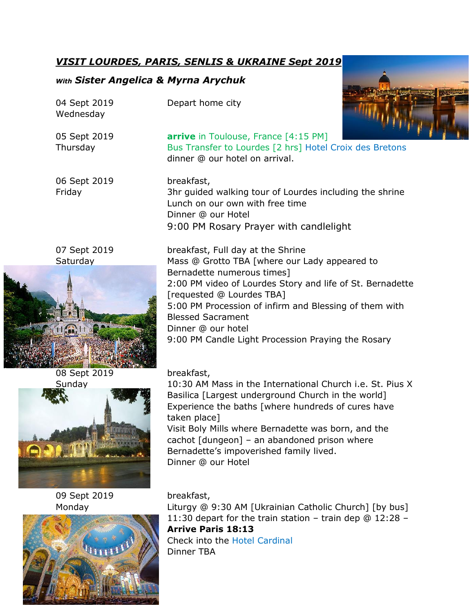# *VISIT LOURDES, PARIS, SENLIS & UKRAINE Sept 2019*

# *With Sister Angelica & Myrna Arychuk*

h

| 04 Sept 2019<br>Wednesday       | Depart home city                                                                                                                                                                                                                                                                                                                                                             |
|---------------------------------|------------------------------------------------------------------------------------------------------------------------------------------------------------------------------------------------------------------------------------------------------------------------------------------------------------------------------------------------------------------------------|
| 05 Sept 2019<br>Thursday        | <b>arrive</b> in Toulouse, France [4:15 PM]<br>Bus Transfer to Lourdes [2 hrs] Hotel Croix des Bretons<br>dinner @ our hotel on arrival.                                                                                                                                                                                                                                     |
| 06 Sept 2019<br>Friday          | breakfast,<br>3hr guided walking tour of Lourdes including the shrine<br>Lunch on our own with free time<br>Dinner @ our Hotel<br>9:00 PM Rosary Prayer with candlelight                                                                                                                                                                                                     |
| 07 Sept 2019<br>Saturday<br>1/2 | breakfast, Full day at the Shrine<br>Mass @ Grotto TBA [where our Lady appeared to<br>Bernadette numerous times]<br>2:00 PM video of Lourdes Story and life of St. Bernadette<br>[requested @ Lourdes TBA]<br>5:00 PM Procession of infirm and Blessing of them with<br><b>Blessed Sacrament</b><br>Dinner @ our hotel<br>9:00 PM Candle Light Procession Praying the Rosary |
| 08 Sept 2019<br>Sunday          | breakfast,<br>10:30 AM Mass in the International Church i.e. St. Pius X<br>Basilica [Largest underground Church in the world]<br>Experience the baths [where hundreds of cures have<br>taken place]<br>Visit Boly Mills where Bernadette was born, and the<br>cachot [dungeon] - an abandoned prison where<br>Bernadette's impoverished family lived.<br>Dinner @ our Hotel  |
| 09 Sept 2019<br>Monday          | breakfast,<br>Liturgy @ 9:30 AM [Ukrainian Catholic Church] [by bus]<br>11:30 depart for the train station - train dep $@12:28 -$<br><b>Arrive Paris 18:13</b><br><b>Check into the Hotel Cardinal</b><br>Dinner TBA                                                                                                                                                         |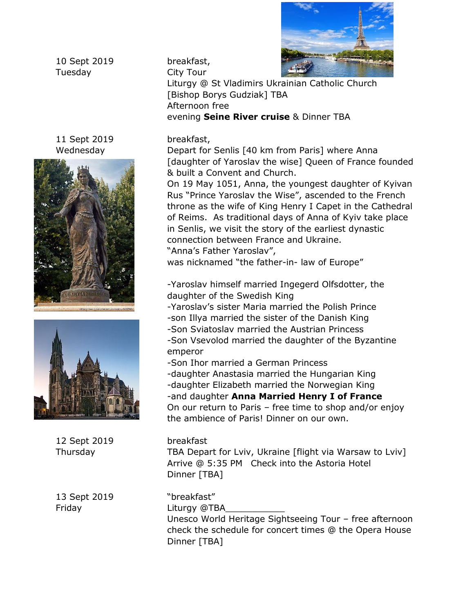

10 Sept 2019 breakfast, Tuesday City Tour

11 Sept 2019 breakfast,





12 Sept 2019 breakfast

13 Sept 2019 "breakfast" Friday Liturgy @TBA

Liturgy @ St Vladimirs Ukrainian Catholic Church [Bishop Borys Gudziak] TBA Afternoon free evening **Seine River cruise** & Dinner TBA

Wednesday Depart for Senlis [40 km from Paris] where Anna [daughter of Yaroslav the wise] Queen of France founded & built a Convent and Church.

> On 19 May 1051, Anna, the youngest daughter of Kyivan Rus "Prince Yaroslav the Wise", ascended to the French throne as the wife of King Henry I Capet in the Cathedral of Reims. As traditional days of Anna of Kyiv take place in Senlis, we visit the story of the earliest dynastic connection between France and Ukraine. "Anna's Father Yaroslav",

was nicknamed "the father-in- law of Europe"

-Yaroslav himself married Ingegerd Olfsdotter, the daughter of the Swedish King

-Yaroslav's sister Maria married the Polish Prince

- -son Illya married the sister of the Danish King
- -Son Sviatoslav married the Austrian Princess
- -Son Vsevolod married the daughter of the Byzantine emperor
- -Son Ihor married a German Princess
- -daughter Anastasia married the Hungarian King
- -daughter Elizabeth married the Norwegian King

-and daughter **Anna Married Henry I of France** On our return to Paris – free time to shop and/or enjoy the ambience of Paris! Dinner on our own.

Thursday TBA Depart for Lviv, Ukraine [flight via Warsaw to Lviv] Arrive @ 5:35 PM Check into the Astoria Hotel Dinner [TBA]

Unesco World Heritage Sightseeing Tour – free afternoon check the schedule for concert times @ the Opera House Dinner [TBA]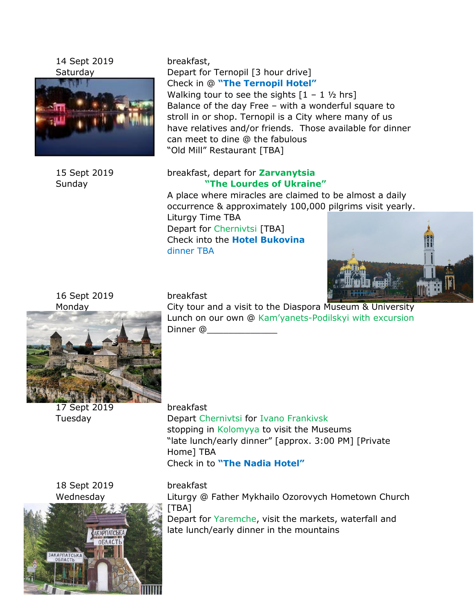14 Sept 2019 breakfast,



Saturday Depart for Ternopil [3 hour drive] Check in @ **"The Ternopil Hotel"**  Walking tour to see the sights  $[1 - 1 \frac{1}{2}$  hrs] Balance of the day Free – with a wonderful square to stroll in or shop. Ternopil is a City where many of us have relatives and/or friends. Those available for dinner can meet to dine @ the fabulous

"Old Mill" Restaurant [TBA]

## 15 Sept 2019 breakfast, depart for **Zarvanytsia** Sunday **"The Lourdes of Ukraine"**

A place where miracles are claimed to be almost a daily occurrence & approximately 100,000 pilgrims visit yearly. Liturgy Time TBA

Depart for Chernivtsi [TBA] Check into the **Hotel Bukovina** dinner TBA



16 Sept 2019 breakfast

Monday **Example 2** City tour and a visit to the Diaspora Museum & University Lunch on our own @ Kam'yanets-Podilskyi with excursion Dinner @\_\_\_\_\_\_\_\_\_\_\_\_\_

17 Sept 2019 breakfast Tuesday Depart Chernivtsi for Ivano Frankivsk stopping in Kolomyya to visit the Museums "late lunch/early dinner" [approx. 3:00 PM] [Private Home] TBA Check in to **"The Nadia Hotel"**

18 Sept 2019 breakfast



Wednesday Liturgy @ Father Mykhailo Ozorovych Hometown Church [TBA]

> Depart for Yaremche, visit the markets, waterfall and late lunch/early dinner in the mountains